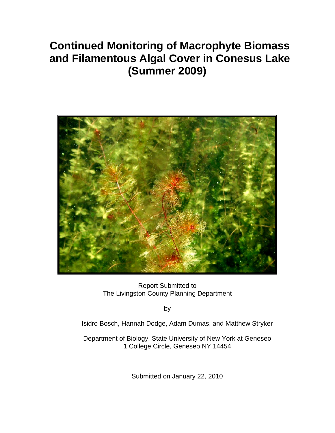# **Continued Monitoring of Macrophyte Biomass and Filamentous Algal Cover in Conesus Lake (Summer 2009)**



Report Submitted to The Livingston County Planning Department

by

Isidro Bosch, Hannah Dodge, Adam Dumas, and Matthew Stryker

Department of Biology, State University of New York at Geneseo 1 College Circle, Geneseo NY 14454

Submitted on January 22, 2010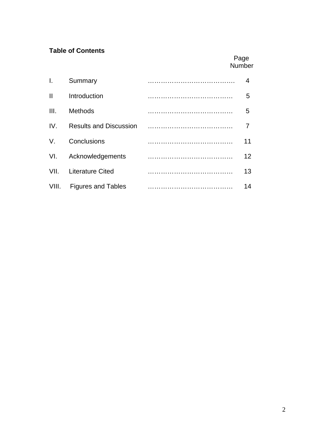## **Table of Contents**

## Page Number

| I.           | Summary                       | 4  |
|--------------|-------------------------------|----|
| $\mathbf{I}$ | Introduction                  | 5  |
| III.         | <b>Methods</b>                | 5  |
| IV.          | <b>Results and Discussion</b> | 7  |
| V.           | Conclusions                   | 11 |
| VI.          | Acknowledgements              | 12 |
| VII.         | <b>Literature Cited</b>       | 13 |
| VIII.        | <b>Figures and Tables</b>     | 14 |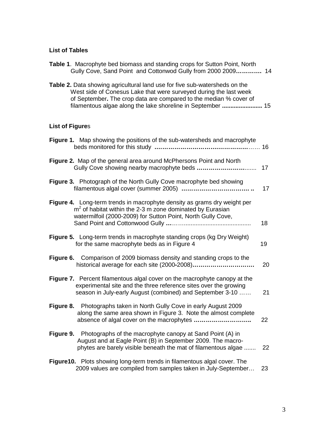### **List of Tables**

| of September. The crop data are compared to the median % cover of<br>filamentous algae along the lake shoreline in September  15                                                                            |                 |
|-------------------------------------------------------------------------------------------------------------------------------------------------------------------------------------------------------------|-----------------|
| <b>List of Figures</b>                                                                                                                                                                                      |                 |
| Figure 1. Map showing the positions of the sub-watersheds and macrophyte                                                                                                                                    |                 |
| Figure 2. Map of the general area around McPhersons Point and North                                                                                                                                         | 17 <sub>2</sub> |
| Figure 3. Photograph of the North Gully Cove macrophyte bed showing                                                                                                                                         | 17              |
| Figure 4. Long-term trends in macrophyte density as grams dry weight per<br>$m2$ of habitat within the 2-3 m zone dominated by Eurasian<br>watermilfoil (2000-2009) for Sutton Point, North Gully Cove,     | 18              |
| Figure 5. Long-term trends in macrophyte standing crops (kg Dry Weight)<br>for the same macrophyte beds as in Figure 4                                                                                      | 19              |
| Figure 6. Comparison of 2009 biomass density and standing crops to the                                                                                                                                      | 20              |
| Figure 7. Percent filamentous algal cover on the macrophyte canopy at the<br>experimental site and the three reference sites over the growing<br>season in July-early August (combined) and September 3-10  | 21              |
| Figure 8. Photographs taken in North Gully Cove in early August 2009<br>along the same area shown in Figure 3. Note the almost complete<br>absence of algal cover on the macrophytes                        | 22              |
| <b>Figure 9.</b> Photographs of the macrophyte canopy at Sand Point (A) in<br>August and at Eagle Point (B) in September 2009. The macro-<br>phytes are barely visible beneath the mat of filamentous algae | 22              |
| Figure 10. Plots showing long-term trends in filamentous algal cover. The<br>2009 values are compiled from samples taken in July-September                                                                  | 23              |

**Table 1**. Macrophyte bed biomass and standing crops for Sutton Point, North

**Table 2.** Data showing agricultural land use for five sub-watersheds on the

Gully Cove, Sand Point and Cottonwod Gully from 2000 2009**………….** 14

West side of Conesus Lake that were surveyed during the last week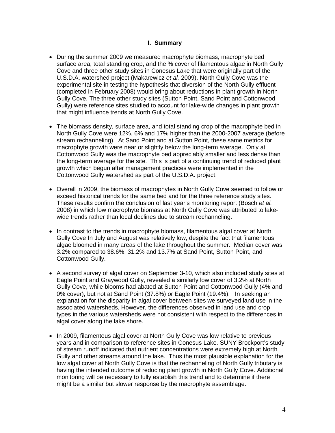#### **I. Summary**

- During the summer 2009 we measured macrophyte biomass, macrophyte bed surface area, total standing crop, and the % cover of filamentous algae in North Gully Cove and three other study sites in Conesus Lake that were originally part of the U.S.D.A. watershed project (Makarewicz *et al.* 2009). North Gully Cove was the experimental site in testing the hypothesis that diversion of the North Gully effluent (completed in February 2008) would bring about reductions in plant growth in North Gully Cove. The three other study sites (Sutton Point, Sand Point and Cottonwood Gully) were reference sites studied to account for lake-wide changes in plant growth that might influence trends at North Gully Cove.
- The biomass density, surface area, and total standing crop of the macrophyte bed in North Gully Cove were 12%, 6% and 17% higher than the 2000-2007 average (before stream rechanneling). At Sand Point and at Sutton Point, these same metrics for macrophyte growth were near or slightly below the long-term average. Only at Cottonwood Gully was the macrophyte bed appreciably smaller and less dense than the long-term average for the site. This is part of a continuing trend of reduced plant growth which begun after management practices were implemented in the Cottonwood Gully watershed as part of the U.S.D.A. project.
- Overall in 2009, the biomass of macrophytes in North Gully Cove seemed to follow or exceed historical trends for the same bed and for the three reference study sites. These results confirm the conclusion of last year's monitoring report (Bosch *et al.* 2008) in which low macrophyte biomass at North Gully Cove was attributed to lakewide trends rather than local declines due to stream rechanneling.
- In contrast to the trends in macrophyte biomass, filamentous algal cover at North Gully Cove In July and August was relatively low, despite the fact that filamentous algae bloomed in many areas of the lake throughout the summer. Median cover was 3.2% compared to 38.6%, 31.2% and 13.7% at Sand Point, Sutton Point, and Cottonwood Gully.
- A second survey of algal cover on September 3-10, which also included study sites at Eagle Point and Graywood Gully, revealed a similarly low cover of 3.2% at North Gully Cove, while blooms had abated at Sutton Point and Cottonwood Gully (4% and 0% cover), but not at Sand Point (37.8%) or Eagle Point (19.4%). In seeking an explanation for the disparity in algal cover between sites we surveyed land use in the associated watersheds, However, the differences observed in land use and crop types in the various watersheds were not consistent with respect to the differences in algal cover along the lake shore.
- In 2009, filamentous algal cover at North Gully Cove was low relative to previous years and in comparison to reference sites in Conesus Lake. SUNY Brockport's study of stream runoff indicated that nutrient concentrations were extremely high at North Gully and other streams around the lake. Thus the most plausible explanation for the low algal cover at North Gully Cove is that the rechanneling of North Gully tributary is having the intended outcome of reducing plant growth in North Gully Cove. Additional monitoring will be necessary to fully establish this trend and to determine if there might be a similar but slower response by the macrophyte assemblage.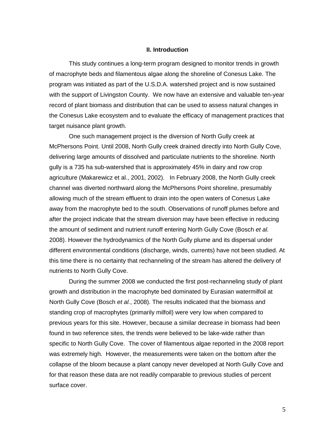#### **II. Introduction**

This study continues a long-term program designed to monitor trends in growth of macrophyte beds and filamentous algae along the shoreline of Conesus Lake. The program was initiated as part of the U.S.D.A. watershed project and is now sustained with the support of Livingston County. We now have an extensive and valuable ten-year record of plant biomass and distribution that can be used to assess natural changes in the Conesus Lake ecosystem and to evaluate the efficacy of management practices that target nuisance plant growth.

One such management project is the diversion of North Gully creek at McPhersons Point. Until 2008, North Gully creek drained directly into North Gully Cove, delivering large amounts of dissolved and particulate nutrients to the shoreline. North gully is a 735 ha sub-watershed that is approximately 45% in dairy and row crop agriculture (Makarewicz et al., 2001, 2002). In February 2008, the North Gully creek channel was diverted northward along the McPhersons Point shoreline, presumably allowing much of the stream effluent to drain into the open waters of Conesus Lake away from the macrophyte bed to the south. Observations of runoff plumes before and after the project indicate that the stream diversion may have been effective in reducing the amount of sediment and nutrient runoff entering North Gully Cove (Bosch *et al.* 2008). However the hydrodynamics of the North Gully plume and its dispersal under different environmental conditions (discharge, winds, currents) have not been studied. At this time there is no certainty that rechanneling of the stream has altered the delivery of nutrients to North Gully Cove.

During the summer 2008 we conducted the first post-rechanneling study of plant growth and distribution in the macrophyte bed dominated by Eurasian watermilfoil at North Gully Cove (Bosch *et al.*, 2008). The results indicated that the biomass and standing crop of macrophytes (primarily milfoil) were very low when compared to previous years for this site. However, because a similar decrease in biomass had been found in two reference sites, the trends were believed to be lake-wide rather than specific to North Gully Cove. The cover of filamentous algae reported in the 2008 report was extremely high. However, the measurements were taken on the bottom after the collapse of the bloom because a plant canopy never developed at North Gully Cove and for that reason these data are not readily comparable to previous studies of percent surface cover.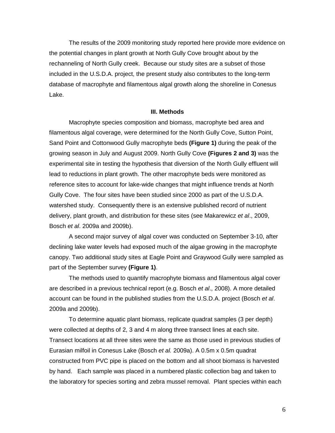The results of the 2009 monitoring study reported here provide more evidence on the potential changes in plant growth at North Gully Cove brought about by the rechanneling of North Gully creek. Because our study sites are a subset of those included in the U.S.D.A. project, the present study also contributes to the long-term database of macrophyte and filamentous algal growth along the shoreline in Conesus Lake.

#### **III. Methods**

Macrophyte species composition and biomass, macrophyte bed area and filamentous algal coverage, were determined for the North Gully Cove, Sutton Point, Sand Point and Cottonwood Gully macrophyte beds **(Figure 1)** during the peak of the growing season in July and August 2009. North Gully Cove **(Figures 2 and 3)** was the experimental site in testing the hypothesis that diversion of the North Gully effluent will lead to reductions in plant growth. The other macrophyte beds were monitored as reference sites to account for lake-wide changes that might influence trends at North Gully Cove. The four sites have been studied since 2000 as part of the U.S.D.A. watershed study. Consequently there is an extensive published record of nutrient delivery, plant growth, and distribution for these sites (see Makarewicz *et al*., 2009, Bosch *et al*. 2009a and 2009b).

A second major survey of algal cover was conducted on September 3-10, after declining lake water levels had exposed much of the algae growing in the macrophyte canopy. Two additional study sites at Eagle Point and Graywood Gully were sampled as part of the September survey **(Figure 1)**.

The methods used to quantify macrophyte biomass and filamentous algal cover are described in a previous technical report (e.g. Bosch *et al*., 2008). A more detailed account can be found in the published studies from the U.S.D.A. project (Bosch *et al*. 2009a and 2009b).

To determine aquatic plant biomass, replicate quadrat samples (3 per depth) were collected at depths of 2, 3 and 4 m along three transect lines at each site. Transect locations at all three sites were the same as those used in previous studies of Eurasian milfoil in Conesus Lake (Bosch *et al.* 2009a). A 0.5m x 0.5m quadrat constructed from PVC pipe is placed on the bottom and all shoot biomass is harvested by hand. Each sample was placed in a numbered plastic collection bag and taken to the laboratory for species sorting and zebra mussel removal. Plant species within each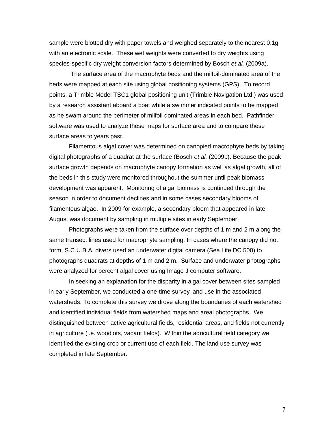sample were blotted dry with paper towels and weighed separately to the nearest 0.1g with an electronic scale. These wet weights were converted to dry weights using species-specific dry weight conversion factors determined by Bosch *et al.* (2009a).

The surface area of the macrophyte beds and the milfoil-dominated area of the beds were mapped at each site using global positioning systems (GPS). To record points, a Trimble Model TSC1 global positioning unit (Trimble Navigation Ltd.) was used by a research assistant aboard a boat while a swimmer indicated points to be mapped as he swam around the perimeter of milfoil dominated areas in each bed. Pathfinder software was used to analyze these maps for surface area and to compare these surface areas to years past.

Filamentous algal cover was determined on canopied macrophyte beds by taking digital photographs of a quadrat at the surface (Bosch *et al.* (2009b). Because the peak surface growth depends on macrophyte canopy formation as well as algal growth, all of the beds in this study were monitored throughout the summer until peak biomass development was apparent. Monitoring of algal biomass is continued through the season in order to document declines and in some cases secondary blooms of filamentous algae. In 2009 for example, a secondary bloom that appeared in late August was document by sampling in multiple sites in early September.

Photographs were taken from the surface over depths of 1 m and 2 m along the same transect lines used for macrophyte sampling. In cases where the canopy did not form, S.C.U.B.A. divers used an underwater digital camera (Sea Life DC 500) to photographs quadrats at depths of 1 m and 2 m. Surface and underwater photographs were analyzed for percent algal cover using Image J computer software.

In seeking an explanation for the disparity in algal cover between sites sampled in early September, we conducted a one-time survey land use in the associated watersheds. To complete this survey we drove along the boundaries of each watershed and identified individual fields from watershed maps and areal photographs. We distinguished between active agricultural fields, residential areas, and fields not currently in agriculture (i.e. woodlots, vacant fields). Within the agricultural field category we identified the existing crop or current use of each field. The land use survey was completed in late September.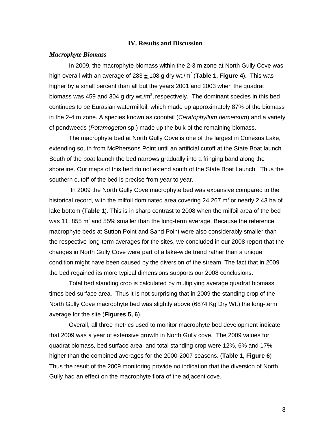#### **IV. Results and Discussion**

#### *Macrophyte Biomass*

In 2009, the macrophyte biomass within the 2-3 m zone at North Gully Cove was high overall with an average of 283  $\pm$  108 g dry wt./m<sup>2</sup> (**Table 1, Figure 4**). This was higher by a small percent than all but the years 2001 and 2003 when the quadrat biomass was 459 and 304 g dry wt./m<sup>2</sup>, respectively. The dominant species in this bed continues to be Eurasian watermilfoil, which made up approximately 87% of the biomass in the 2-4 m zone. A species known as coontail (*Ceratophyllum demersum*) and a variety of pondweeds (*Potamogeton* sp.) made up the bulk of the remaining biomass.

The macrophyte bed at North Gully Cove is one of the largest in Conesus Lake, extending south from McPhersons Point until an artificial cutoff at the State Boat launch. South of the boat launch the bed narrows gradually into a fringing band along the shoreline. Our maps of this bed do not extend south of the State Boat Launch. Thus the southern cutoff of the bed is precise from year to year.

In 2009 the North Gully Cove macrophyte bed was expansive compared to the historical record, with the milfoil dominated area covering 24,267  $m^2$  or nearly 2.43 ha of lake bottom (**Table 1**). This is in sharp contrast to 2008 when the milfoil area of the bed was 11, 855  $\text{m}^2$  and 55% smaller than the long-term average. Because the reference macrophyte beds at Sutton Point and Sand Point were also considerably smaller than the respective long-term averages for the sites, we concluded in our 2008 report that the changes in North Gully Cove were part of a lake-wide trend rather than a unique condition might have been caused by the diversion of the stream. The fact that in 2009 the bed regained its more typical dimensions supports our 2008 conclusions.

Total bed standing crop is calculated by multiplying average quadrat biomass times bed surface area. Thus it is not surprising that in 2009 the standing crop of the North Gully Cove macrophyte bed was slightly above (6874 Kg Dry Wt.) the long-term average for the site (**Figures 5, 6**).

Overall, all three metrics used to monitor macrophyte bed development indicate that 2009 was a year of extensive growth in North Gully cove. The 2009 values for quadrat biomass, bed surface area, and total standing crop were 12%, 6% and 17% higher than the combined averages for the 2000-2007 seasons. (**Table 1, Figure 6**) Thus the result of the 2009 monitoring provide no indication that the diversion of North Gully had an effect on the macrophyte flora of the adjacent cove.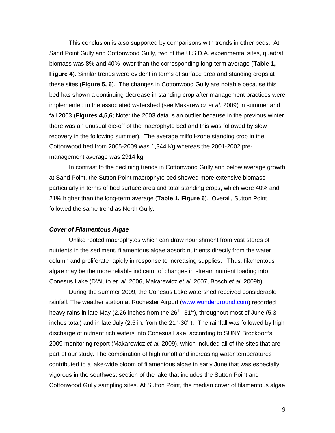This conclusion is also supported by comparisons with trends in other beds. At Sand Point Gully and Cottonwood Gully, two of the U.S.D.A. experimental sites, quadrat biomass was 8% and 40% lower than the corresponding long-term average (**Table 1, Figure 4**). Similar trends were evident in terms of surface area and standing crops at these sites (**Figure 5, 6**). The changes in Cottonwood Gully are notable because this bed has shown a continuing decrease in standing crop after management practices were implemented in the associated watershed (see Makarewicz *et al.* 2009) in summer and fall 2003 (**Figures 4,5,6**; Note: the 2003 data is an outlier because in the previous winter there was an unusual die-off of the macrophyte bed and this was followed by slow recovery in the following summer). The average milfoil-zone standing crop in the Cottonwood bed from 2005-2009 was 1,344 Kg whereas the 2001-2002 premanagement average was 2914 kg.

In contrast to the declining trends in Cottonwood Gully and below average growth at Sand Point, the Sutton Point macrophyte bed showed more extensive biomass particularly in terms of bed surface area and total standing crops, which were 40% and 21% higher than the long-term average (**Table 1, Figure 6**). Overall, Sutton Point followed the same trend as North Gully.

#### *Cover of Filamentous Algae*

Unlike rooted macrophytes which can draw nourishment from vast stores of nutrients in the sediment, filamentous algae absorb nutrients directly from the water column and proliferate rapidly in response to increasing supplies. Thus, filamentous algae may be the more reliable indicator of changes in stream nutrient loading into Conesus Lake (D'Aiuto *et. al.* 2006, Makarewicz *et al*. 2007, Bosch *et al*. 2009b).

During the summer 2009, the Conesus Lake watershed received considerable rainfall. The weather station at Rochester Airport [\(www.wunderground.com\)](http://www.wunderground.com/) recorded heavy rains in late May (2.26 inches from the  $26<sup>th</sup>$  -31<sup>st</sup>), throughout most of June (5.3 inches total) and in late July (2.5 in. from the  $21<sup>st</sup>-30<sup>th</sup>$ ). The rainfall was followed by high discharge of nutrient rich waters into Conesus Lake, according to SUNY Brockport's 2009 monitoring report (Makarewicz *et al.* 2009), which included all of the sites that are part of our study. The combination of high runoff and increasing water temperatures contributed to a lake-wide bloom of filamentous algae in early June that was especially vigorous in the southwest section of the lake that includes the Sutton Point and Cottonwood Gully sampling sites. At Sutton Point, the median cover of filamentous algae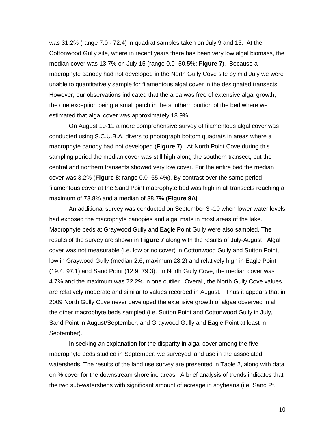was 31.2% (range 7.0 - 72.4) in quadrat samples taken on July 9 and 15. At the Cottonwood Gully site, where in recent years there has been very low algal biomass, the median cover was 13.7% on July 15 (range 0.0 -50.5%; **Figure 7**). Because a macrophyte canopy had not developed in the North Gully Cove site by mid July we were unable to quantitatively sample for filamentous algal cover in the designated transects. However, our observations indicated that the area was free of extensive algal growth, the one exception being a small patch in the southern portion of the bed where we estimated that algal cover was approximately 18.9%.

On August 10-11 a more comprehensive survey of filamentous algal cover was conducted using S.C.U.B.A. divers to photograph bottom quadrats in areas where a macrophyte canopy had not developed (**Figure 7**). At North Point Cove during this sampling period the median cover was still high along the southern transect, but the central and northern transects showed very low cover. For the entire bed the median cover was 3.2% (**Figure 8**; range 0.0 -65.4%). By contrast over the same period filamentous cover at the Sand Point macrophyte bed was high in all transects reaching a maximum of 73.8% and a median of 38.7% **(Figure 9A)**

An additional survey was conducted on September 3 -10 when lower water levels had exposed the macrophyte canopies and algal mats in most areas of the lake. Macrophyte beds at Graywood Gully and Eagle Point Gully were also sampled. The results of the survey are shown in **Figure 7** along with the results of July-August. Algal cover was not measurable (i.e. low or no cover) in Cottonwood Gully and Sutton Point, low in Graywood Gully (median 2.6, maximum 28.2) and relatively high in Eagle Point (19.4, 97.1) and Sand Point (12.9, 79.3). In North Gully Cove, the median cover was 4.7% and the maximum was 72.2% in one outlier. Overall, the North Gully Cove values are relatively moderate and similar to values recorded in August. Thus it appears that in 2009 North Gully Cove never developed the extensive growth of algae observed in all the other macrophyte beds sampled (i.e. Sutton Point and Cottonwood Gully in July, Sand Point in August/September, and Graywood Gully and Eagle Point at least in September).

In seeking an explanation for the disparity in algal cover among the five macrophyte beds studied in September, we surveyed land use in the associated watersheds. The results of the land use survey are presented in Table 2, along with data on % cover for the downstream shoreline areas. A brief analysis of trends indicates that the two sub-watersheds with significant amount of acreage in soybeans (i.e. Sand Pt.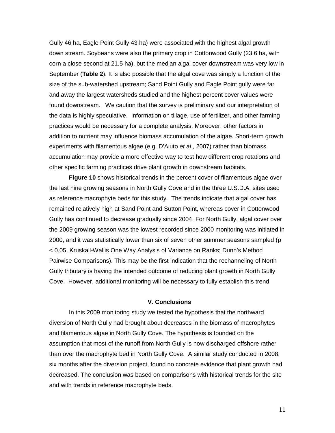Gully 46 ha, Eagle Point Gully 43 ha) were associated with the highest algal growth down stream. Soybeans were also the primary crop in Cottonwood Gully (23.6 ha, with corn a close second at 21.5 ha), but the median algal cover downstream was very low in September (**Table 2**). It is also possible that the algal cove was simply a function of the size of the sub-watershed upstream; Sand Point Gully and Eagle Point gully were far and away the largest watersheds studied and the highest percent cover values were found downstream. We caution that the survey is preliminary and our interpretation of the data is highly speculative. Information on tillage, use of fertilizer, and other farming practices would be necessary for a complete analysis. Moreover, other factors in addition to nutrient may influence biomass accumulation of the algae. Short-term growth experiments with filamentous algae (e.g. D'Aiuto *et al*., 2007) rather than biomass accumulation may provide a more effective way to test how different crop rotations and other specific farming practices drive plant growth in downstream habitats.

**Figure 10** shows historical trends in the percent cover of filamentous algae over the last nine growing seasons in North Gully Cove and in the three U.S.D.A. sites used as reference macrophyte beds for this study. The trends indicate that algal cover has remained relatively high at Sand Point and Sutton Point, whereas cover in Cottonwood Gully has continued to decrease gradually since 2004. For North Gully, algal cover over the 2009 growing season was the lowest recorded since 2000 monitoring was initiated in 2000, and it was statistically lower than six of seven other summer seasons sampled (p < 0.05, Kruskall-Wallis One Way Analysis of Variance on Ranks; Dunn's Method Pairwise Comparisons). This may be the first indication that the rechanneling of North Gully tributary is having the intended outcome of reducing plant growth in North Gully Cove. However, additional monitoring will be necessary to fully establish this trend.

#### **V**. **Conclusions**

In this 2009 monitoring study we tested the hypothesis that the northward diversion of North Gully had brought about decreases in the biomass of macrophytes and filamentous algae in North Gully Cove. The hypothesis is founded on the assumption that most of the runoff from North Gully is now discharged offshore rather than over the macrophyte bed in North Gully Cove. A similar study conducted in 2008, six months after the diversion project, found no concrete evidence that plant growth had decreased. The conclusion was based on comparisons with historical trends for the site and with trends in reference macrophyte beds.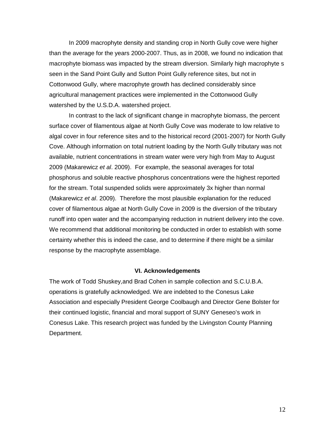In 2009 macrophyte density and standing crop in North Gully cove were higher than the average for the years 2000-2007. Thus, as in 2008, we found no indication that macrophyte biomass was impacted by the stream diversion. Similarly high macrophyte s seen in the Sand Point Gully and Sutton Point Gully reference sites, but not in Cottonwood Gully, where macrophyte growth has declined considerably since agricultural management practices were implemented in the Cottonwood Gully watershed by the U.S.D.A. watershed project.

In contrast to the lack of significant change in macrophyte biomass, the percent surface cover of filamentous algae at North Gully Cove was moderate to low relative to algal cover in four reference sites and to the historical record (2001-2007) for North Gully Cove. Although information on total nutrient loading by the North Gully tributary was not available, nutrient concentrations in stream water were very high from May to August 2009 (Makarewicz *et al*. 2009). For example, the seasonal averages for total phosphorus and soluble reactive phosphorus concentrations were the highest reported for the stream. Total suspended solids were approximately 3x higher than normal (Makarewicz *et al*. 2009). Therefore the most plausible explanation for the reduced cover of filamentous algae at North Gully Cove in 2009 is the diversion of the tributary runoff into open water and the accompanying reduction in nutrient delivery into the cove. We recommend that additional monitoring be conducted in order to establish with some certainty whether this is indeed the case, and to determine if there might be a similar response by the macrophyte assemblage.

#### **VI. Acknowledgements**

The work of Todd Shuskey,and Brad Cohen in sample collection and S.C.U.B.A. operations is gratefully acknowledged. We are indebted to the Conesus Lake Association and especially President George Coolbaugh and Director Gene Bolster for their continued logistic, financial and moral support of SUNY Geneseo's work in Conesus Lake. This research project was funded by the Livingston County Planning Department.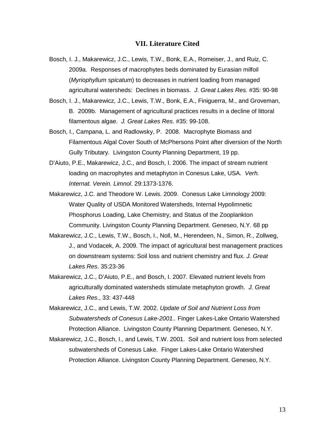#### **VII. Literature Cited**

- Bosch, I. J., Makarewicz, J.C., Lewis, T.W., Bonk, E.A., Romeiser, J., and Ruiz, C. 2009a. Responses of macrophytes beds dominated by Eurasian milfoil (*Myriophyllum spicatum*) to decreases in nutrient loading from managed agricultural watersheds: Declines in biomass. *J. Great Lakes Res.* #35: 90-98
- Bosch, I. J., Makarewicz, J.C., Lewis, T.W., Bonk, E.A., Finiguerra, M., and Groveman, B. 2009b. Management of agricultural practices results in a decline of littoral filamentous algae. *J. Great Lakes Res*. #35: 99-108.
- Bosch, I., Campana, L. and Radlowsky, P. 2008. Macrophyte Biomass and Filamentous Algal Cover South of McPhersons Point after diversion of the North Gully Tributary. Livingston County Planning Department, 19 pp.
- D'Aiuto, P.E., Makarewicz, J.C., and Bosch, I. 2006. The impact of stream nutrient loading on macrophytes and metaphyton in Conesus Lake, USA. *Verh. Internat. Verein. Limnol*. 29:1373-1376.
- Makarewicz, J.C. and Theodore W. Lewis. 2009. Conesus Lake Limnology 2009: Water Quality of USDA Monitored Watersheds, Internal Hypolimnetic Phosphorus Loading, Lake Chemistry, and Status of the Zooplankton Community. Livingston County Planning Department. Geneseo, N.Y. 68 pp
- Makarewicz, J.C., Lewis, T.W., Bosch, I., Noll, M., Herendeen, N., Simon, R., Zollweg, J., and Vodacek, A. 2009. The impact of agricultural best management practices on downstream systems: Soil loss and nutrient chemistry and flux. *J. Great Lakes Res*. 35:23-36
- Makarewicz, J.C., D'Aiuto, P.E., and Bosch, I. 2007. Elevated nutrient levels from agriculturally dominated watersheds stimulate metaphyton growth. *J. Great Lakes Res*., 33: 437-448
- Makarewicz, J.C., and Lewis, T.W. 2002. *Update of Soil and Nutrient Loss from Subwatersheds of Conesus Lake-2001..* Finger Lakes-Lake Ontario Watershed Protection Alliance. Livingston County Planning Department. Geneseo, N.Y.
- Makarewicz, J.C., Bosch, I., and Lewis, T.W. 2001. Soil and nutrient loss from selected subwatersheds of Conesus Lake. Finger Lakes-Lake Ontario Watershed Protection Alliance. Livingston County Planning Department. Geneseo, N.Y.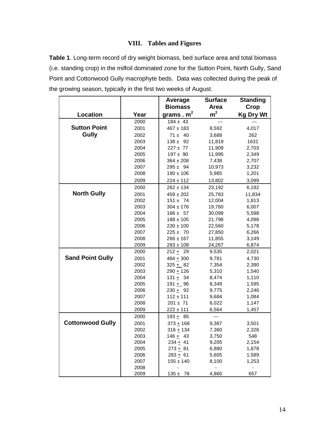## **VIII. Tables and Figures**

**Table 1**. Long-term record of dry weight biomass, bed surface area and total biomass (i.e. standing crop) in the milfoil dominated zone for the Sutton Point, North Gully, Sand Point and Cottonwood Gully macrophyte beds. Data was collected during the peak of the growing season, typically in the first two weeks of August.

|                         |      | Average        | <b>Surface</b> | <b>Standing</b>  |
|-------------------------|------|----------------|----------------|------------------|
|                         |      | <b>Biomass</b> | Area           | Crop             |
| Location                | Year | grams. $m2$    | m <sup>2</sup> | <b>Kg Dry Wt</b> |
|                         | 2000 | $184 \pm 43$   |                |                  |
| <b>Sutton Point</b>     | 2001 | $467 \pm 183$  | 8,592          | 4,017            |
| <b>Gully</b>            | 2002 | $71 \pm 40$    | 3,688          | 262              |
|                         | 2003 | $138 \pm 92$   | 11,819         | 1631             |
|                         | 2004 | $227 + 77$     | 11,909         | 2,703            |
|                         | 2005 | $197 \pm 90$   | 11,995         | 2,349            |
|                         | 2006 | $364 \pm 208$  | 7,438          | 2,707            |
|                         | 2007 | $295 \pm 94$   | 10,973         | 3,232            |
|                         | 2008 | $190 \pm 106$  | 5,985          | 1,201            |
|                         | 2009 | $224 \pm 112$  | 13,802         | 3,099            |
|                         | 2000 | $262 \pm 134$  | 23,192         | 6,192            |
| <b>North Gully</b>      | 2001 | $459 \pm 202$  | 25,783         | 11,834           |
|                         | 2002 | $151 \pm 74$   | 12,004         | 1,813            |
|                         | 2003 | $304 \pm 176$  | 19,760         | 6,007            |
|                         | 2004 | $186 \pm 57$   | 30,099         | 5,598            |
|                         | 2005 | $188 \pm 105$  | 21,798         | 4,098            |
|                         | 2006 | $230 \pm 100$  | 22,560         | 5,178            |
|                         | 2007 | $225 \pm 70$   | 27,850         | 6,266            |
|                         | 2008 | $266 \pm 167$  | 11,855         | 3,149            |
|                         | 2009 | $283 \pm 108$  | 24,267         | 6,874            |
|                         | 2000 | $212 + 29$     | 9,535          | 2,021            |
| <b>Sand Point Gully</b> | 2001 | $484 + 300$    | 9,781          | 4,730            |
|                         | 2002 | $325 + 82$     | 7,354          | 2,390            |
|                         | 2003 | $290 + 126$    | 5,310          | 1,540            |
|                         | 2004 | $131 + 34$     | 8,474          | 1,110            |
|                         | 2005 | $191 + 96$     | 8,349          | 1,595            |
|                         | 2006 | $230 + 92$     | 9,775          | 2,246            |
|                         | 2007 | $112 \pm 111$  | 9,684          | 1,084            |
|                         | 2008 | $201 \pm 71$   | 6,022          | 1,147            |
|                         | 2009 | $222 \pm 111$  | 6,564          | 1,457            |
|                         | 2000 | 193 $\pm$ 85   | ---            |                  |
| <b>Cottonwood Gully</b> | 2001 | $373 + 168$    | 9,387          | 3,501            |
|                         | 2002 | $316 + 134$    | 7,360          | 2,326            |
|                         | 2003 | $146 + 43$     | 3,750          | 548              |
|                         | 2004 | $234 + 41$     | 9,205          | 2,154            |
|                         | 2005 | $273 + 81$     | 6,880          | 1,878            |
|                         | 2006 | $283 + 61$     | 5,605          | 1,589            |
|                         | 2007 | $155 \pm 140$  | 8,100          | 1,253            |
|                         | 2008 |                |                |                  |
|                         | 2009 | $135 \pm 78$   | 4,860          | 657              |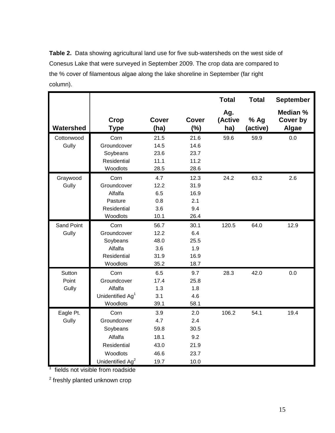**Table 2.** Data showing agricultural land use for five sub-watersheds on the west side of Conesus Lake that were surveyed in September 2009. The crop data are compared to the % cover of filamentous algae along the lake shoreline in September (far right column).

|            |                              |                      |                     | <b>Total</b>          | <b>Total</b>     | <b>September</b>              |
|------------|------------------------------|----------------------|---------------------|-----------------------|------------------|-------------------------------|
| Watershed  | Crop<br><b>Type</b>          | <b>Cover</b><br>(ha) | <b>Cover</b><br>(%) | Ag.<br>(Active<br>ha) | % Ag<br>(active) | Median %<br>Cover by<br>Algae |
| Cottonwood | Corn                         | 21.5                 | 21.6                | 59.6                  | 59.9             | 0.0                           |
| Gully      | Groundcover                  | 14.5                 | 14.6                |                       |                  |                               |
|            | Soybeans                     | 23.6                 | 23.7                |                       |                  |                               |
|            | Residential                  | 11.1                 | 11.2                |                       |                  |                               |
|            | Woodlots                     | 28.5                 | 28.6                |                       |                  |                               |
| Graywood   | Corn                         | 4.7                  | 12.3                | 24.2                  | 63.2             | 2.6                           |
| Gully      | Groundcover                  | 12.2                 | 31.9                |                       |                  |                               |
|            | Alfalfa                      | 6.5                  | 16.9                |                       |                  |                               |
|            | Pasture                      | 0.8                  | 2.1                 |                       |                  |                               |
|            | Residential                  | 3.6                  | 9.4                 |                       |                  |                               |
|            | Woodlots                     | 10.1                 | 26.4                |                       |                  |                               |
| Sand Point | Corn                         | 56.7                 | 30.1                | 120.5                 | 64.0             | 12.9                          |
| Gully      | Groundcover                  | 12.2                 | 6.4                 |                       |                  |                               |
|            | Soybeans                     | 48.0                 | 25.5                |                       |                  |                               |
|            | Alfalfa                      | 3.6                  | 1.9                 |                       |                  |                               |
|            | Residential                  | 31.9                 | 16.9                |                       |                  |                               |
|            | Woodlots                     | 35.2                 | 18.7                |                       |                  |                               |
| Sutton     | Corn                         | 6.5                  | 9.7                 | 28.3                  | 42.0             | 0.0                           |
| Point      | Groundcover                  | 17.4                 | 25.8                |                       |                  |                               |
| Gully      | Alfalfa                      | 1.3                  | 1.8                 |                       |                  |                               |
|            | Unidentified Ag <sup>1</sup> | 3.1                  | 4.6                 |                       |                  |                               |
|            | Woodlots                     | 39.1                 | 58.1                |                       |                  |                               |
| Eagle Pt.  | Corn                         | 3.9                  | 2.0                 | 106.2                 | 54.1             | 19.4                          |
| Gully      | Groundcover                  | 4.7                  | 2.4                 |                       |                  |                               |
|            | Soybeans                     | 59.8                 | 30.5                |                       |                  |                               |
|            | Alfalfa                      | 18.1                 | 9.2                 |                       |                  |                               |
|            | Residential                  | 43.0                 | 21.9                |                       |                  |                               |
|            | Woodlots                     | 46.6                 | 23.7                |                       |                  |                               |
|            | Unidentified Ag <sup>2</sup> | 19.7                 | 10.0                |                       |                  |                               |

<sup>1</sup> fields not visible from roadside

<sup>2</sup> freshly planted unknown crop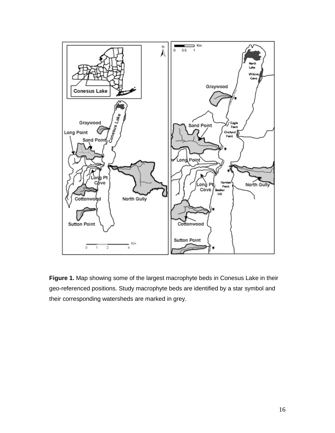

**Figure 1.** Map showing some of the largest macrophyte beds in Conesus Lake in their geo-referenced positions. Study macrophyte beds are identified by a star symbol and their corresponding watersheds are marked in grey.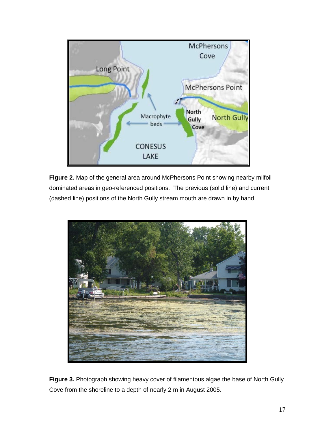

**Figure 2.** Map of the general area around McPhersons Point showing nearby milfoil dominated areas in geo-referenced positions. The previous (solid line) and current (dashed line) positions of the North Gully stream mouth are drawn in by hand.



**Figure 3.** Photograph showing heavy cover of filamentous algae the base of North Gully Cove from the shoreline to a depth of nearly 2 m in August 2005.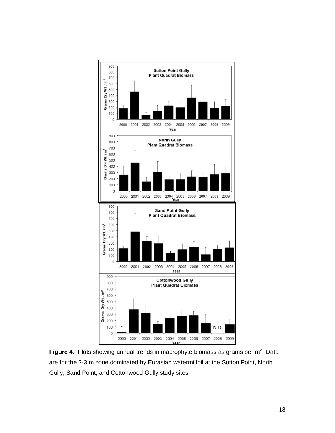

Figure 4. Plots showing annual trends in macrophyte biomass as grams per m<sup>2</sup>. Data are for the 2-3 m zone dominated by Eurasian watermilfoil at the Sutton Point, North Gully, Sand Point, and Cottonwood Gully study sites.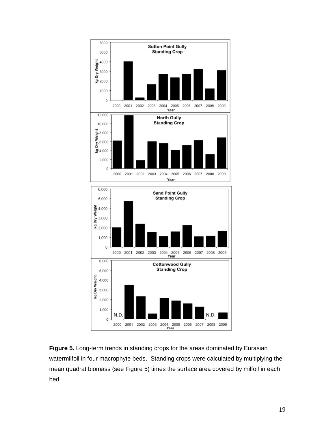

**Figure 5.** Long-term trends in standing crops for the areas dominated by Eurasian watermilfoil in four macrophyte beds. Standing crops were calculated by multiplying the mean quadrat biomass (see Figure 5) times the surface area covered by milfoil in each bed.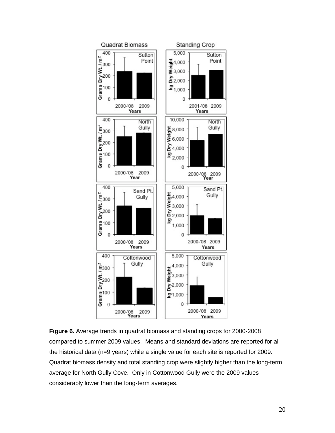

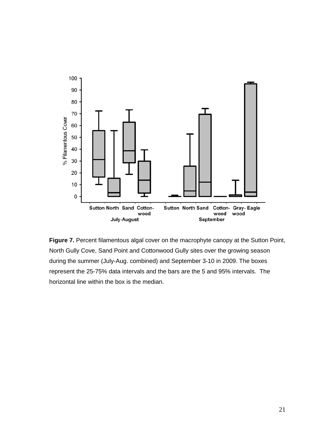

**Figure 7.** Percent filamentous algal cover on the macrophyte canopy at the Sutton Point, North Gully Cove, Sand Point and Cottonwood Gully sites over the growing season during the summer (July-Aug. combined) and September 3-10 in 2009. The boxes represent the 25-75% data intervals and the bars are the 5 and 95% intervals. The horizontal line within the box is the median.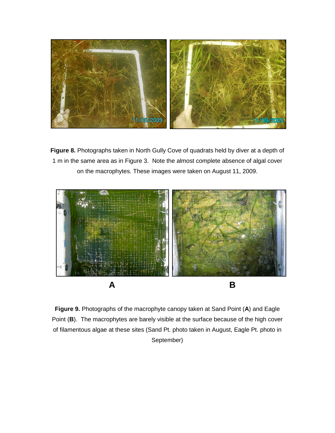

**Figure 8.** Photographs taken in North Gully Cove of quadrats held by diver at a depth of 1 m in the same area as in Figure 3. Note the almost complete absence of algal cover on the macrophytes. These images were taken on August 11, 2009.



**Figure 9.** Photographs of the macrophyte canopy taken at Sand Point (**A**) and Eagle Point (**B**). The macrophytes are barely visible at the surface because of the high cover of filamentous algae at these sites (Sand Pt. photo taken in August, Eagle Pt. photo in September)